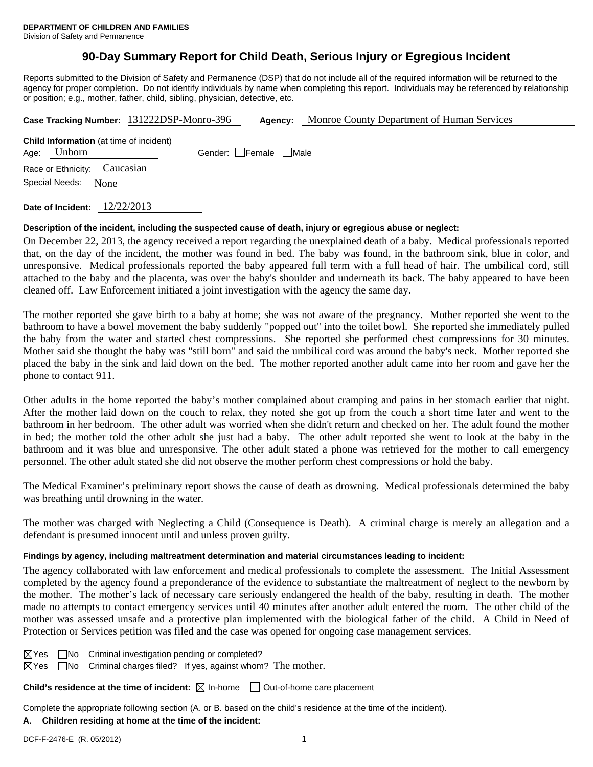# **90-Day Summary Report for Child Death, Serious Injury or Egregious Incident**

Reports submitted to the Division of Safety and Permanence (DSP) that do not include all of the required information will be returned to the agency for proper completion. Do not identify individuals by name when completing this report. Individuals may be referenced by relationship or position; e.g., mother, father, child, sibling, physician, detective, etc.

|      |                                                          | Case Tracking Number: 131222DSP-Monro-396 | Agency:             | Monroe County Department of Human Services |
|------|----------------------------------------------------------|-------------------------------------------|---------------------|--------------------------------------------|
|      | <b>Child Information</b> (at time of incident)<br>Unborn |                                           | Gender: Female Male |                                            |
| Age: |                                                          |                                           |                     |                                            |
|      | Race or Ethnicity: Caucasian                             |                                           |                     |                                            |
|      | Special Needs:<br>None                                   |                                           |                     |                                            |
|      |                                                          |                                           |                     |                                            |

**Date of Incident:** 12/22/2013

#### **Description of the incident, including the suspected cause of death, injury or egregious abuse or neglect:**

On December 22, 2013, the agency received a report regarding the unexplained death of a baby. Medical professionals reported that, on the day of the incident, the mother was found in bed. The baby was found, in the bathroom sink, blue in color, and unresponsive. Medical professionals reported the baby appeared full term with a full head of hair. The umbilical cord, still attached to the baby and the placenta, was over the baby's shoulder and underneath its back. The baby appeared to have been cleaned off. Law Enforcement initiated a joint investigation with the agency the same day.

The mother reported she gave birth to a baby at home; she was not aware of the pregnancy. Mother reported she went to the bathroom to have a bowel movement the baby suddenly "popped out" into the toilet bowl. She reported she immediately pulled the baby from the water and started chest compressions. She reported she performed chest compressions for 30 minutes. Mother said she thought the baby was "still born" and said the umbilical cord was around the baby's neck. Mother reported she placed the baby in the sink and laid down on the bed. The mother reported another adult came into her room and gave her the phone to contact 911.

Other adults in the home reported the baby's mother complained about cramping and pains in her stomach earlier that night. After the mother laid down on the couch to relax, they noted she got up from the couch a short time later and went to the bathroom in her bedroom. The other adult was worried when she didn't return and checked on her. The adult found the mother in bed; the mother told the other adult she just had a baby. The other adult reported she went to look at the baby in the bathroom and it was blue and unresponsive. The other adult stated a phone was retrieved for the mother to call emergency personnel. The other adult stated she did not observe the mother perform chest compressions or hold the baby.

The Medical Examiner's preliminary report shows the cause of death as drowning. Medical professionals determined the baby was breathing until drowning in the water.

The mother was charged with Neglecting a Child (Consequence is Death). A criminal charge is merely an allegation and a defendant is presumed innocent until and unless proven guilty.

### **Findings by agency, including maltreatment determination and material circumstances leading to incident:**

The agency collaborated with law enforcement and medical professionals to complete the assessment. The Initial Assessment completed by the agency found a preponderance of the evidence to substantiate the maltreatment of neglect to the newborn by the mother. The mother's lack of necessary care seriously endangered the health of the baby, resulting in death. The mother made no attempts to contact emergency services until 40 minutes after another adult entered the room. The other child of the mother was assessed unsafe and a protective plan implemented with the biological father of the child. A Child in Need of Protection or Services petition was filed and the case was opened for ongoing case management services.

| $\boxtimes$ Yes | □ No Criminal investigation pending or completed? |
|-----------------|---------------------------------------------------|
|-----------------|---------------------------------------------------|

 $\boxtimes$ Yes  $\Box$ No Criminal charges filed? If yes, against whom? The mother.

**Child's residence at the time of incident:**  $\boxtimes$  In-home  $\Box$  Out-of-home care placement

Complete the appropriate following section (A. or B. based on the child's residence at the time of the incident).

# **A. Children residing at home at the time of the incident:**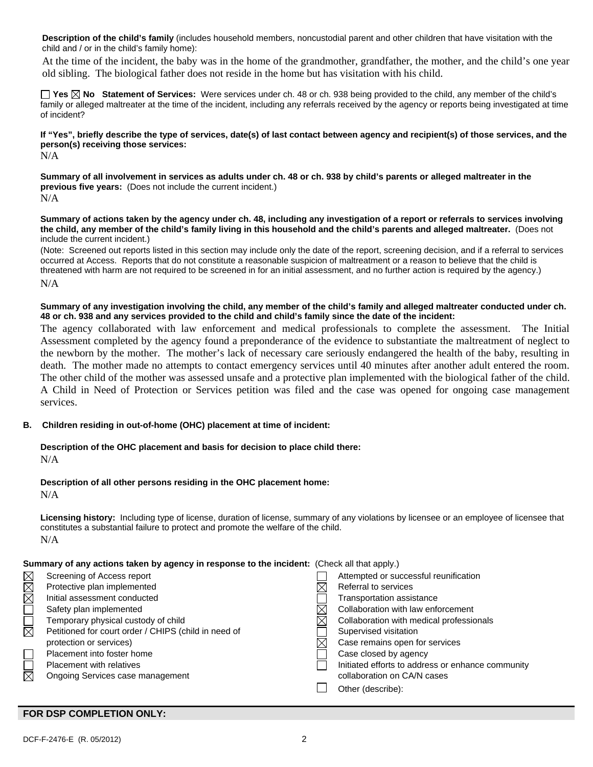**Description of the child's family** (includes household members, noncustodial parent and other children that have visitation with the child and / or in the child's family home):

 At the time of the incident, the baby was in the home of the grandmother, grandfather, the mother, and the child's one year old sibling. The biological father does not reside in the home but has visitation with his child.

**Yes No Statement of Services:** Were services under ch. 48 or ch. 938 being provided to the child, any member of the child's family or alleged maltreater at the time of the incident, including any referrals received by the agency or reports being investigated at time of incident?

**If "Yes", briefly describe the type of services, date(s) of last contact between agency and recipient(s) of those services, and the person(s) receiving those services:** 

N/A

**Summary of all involvement in services as adults under ch. 48 or ch. 938 by child's parents or alleged maltreater in the previous five years:** (Does not include the current incident.)

N/A

**Summary of actions taken by the agency under ch. 48, including any investigation of a report or referrals to services involving the child, any member of the child's family living in this household and the child's parents and alleged maltreater.** (Does not include the current incident.)

(Note: Screened out reports listed in this section may include only the date of the report, screening decision, and if a referral to services occurred at Access. Reports that do not constitute a reasonable suspicion of maltreatment or a reason to believe that the child is threatened with harm are not required to be screened in for an initial assessment, and no further action is required by the agency.) N/A

**Summary of any investigation involving the child, any member of the child's family and alleged maltreater conducted under ch. 48 or ch. 938 and any services provided to the child and child's family since the date of the incident:** 

The agency collaborated with law enforcement and medical professionals to complete the assessment. The Initial Assessment completed by the agency found a preponderance of the evidence to substantiate the maltreatment of neglect to the newborn by the mother. The mother's lack of necessary care seriously endangered the health of the baby, resulting in death. The mother made no attempts to contact emergency services until 40 minutes after another adult entered the room. The other child of the mother was assessed unsafe and a protective plan implemented with the biological father of the child. A Child in Need of Protection or Services petition was filed and the case was opened for ongoing case management services.

### **B. Children residing in out-of-home (OHC) placement at time of incident:**

## **Description of the OHC placement and basis for decision to place child there:**

N/A

## **Description of all other persons residing in the OHC placement home:**

N/A

**Licensing history:** Including type of license, duration of license, summary of any violations by licensee or an employee of licensee that constitutes a substantial failure to protect and promote the welfare of the child. N/A

### **Summary of any actions taken by agency in response to the incident:** (Check all that apply.)

| MMM                    | Screening of Access report                           | Attempted or successful reunification             |
|------------------------|------------------------------------------------------|---------------------------------------------------|
|                        | Protective plan implemented                          | Referral to services                              |
|                        | Initial assessment conducted                         | Transportation assistance                         |
|                        | Safety plan implemented                              | Collaboration with law enforcement                |
| N OID<br>M             | Temporary physical custody of child                  | Collaboration with medical professionals          |
|                        | Petitioned for court order / CHIPS (child in need of | Supervised visitation                             |
|                        | protection or services)                              | Case remains open for services                    |
|                        | Placement into foster home                           | Case closed by agency                             |
| $\overline{\boxtimes}$ | <b>Placement with relatives</b>                      | Initiated efforts to address or enhance community |
|                        | Ongoing Services case management                     | collaboration on CA/N cases                       |
|                        |                                                      | Other (describe):                                 |
|                        |                                                      |                                                   |

### **FOR DSP COMPLETION ONLY:**